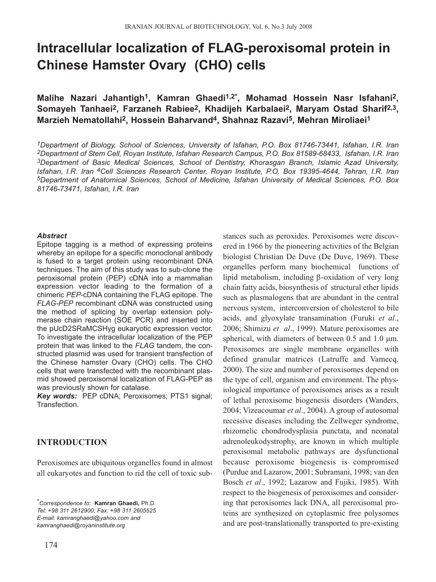# **Intracellular localization of FLAG-peroxisomal protein in Chinese Hamster Ovary (CHO) cells**

**Malihe Nazari Jahantigh1, Kamran Ghaedi1,2\*, Mohamad Hossein Nasr Isfahani2, Somayeh Tanhaei2, Farzaneh Rabiee2, Khadijeh Karbalaei2, Maryam Ostad Sharif2,3, Marzieh Nematollahi2, Hossein Baharvand4, Shahnaz Razavi5, Mehran Miroliaei1**

*1Department of Biology, School of Sciences, University of Isfahan, P.O. Box 81746-73441, Isfahan, I.R. Iran 2Department of Stem Cell, Royan Institute, Isfahan Research Campus, P.O. Box 81589-68433, Isfahan, I.R. Iran 3Department of Basic Medical Sciences, School of Dentistry, Khorasgan Branch, Islamic Azad University, Isfahan, I.R. Iran 4Cell Sciences Research Center, Royan Institute, P.O. Box 19395-4644, Tehran, I.R. Iran 5Department of Anatomical Sciences, School of Medicine, Isfahan University of Medical Sciences, P.O. Box 81746-73471, Isfahan, I.R. Iran*

#### *Abstract*

Epitope tagging is a method of expressing proteins whereby an epitope for a specific monoclonal antibody is fused to a target protein using recombinant DNA techniques. The aim of this study was to sub-clone the peroxisomal protein (PEP) cDNA into a mammalian expression vector leading to the formation of a chimeric *PEP*-cDNA containing the FLAG epitope. The *FLAG-PEP* recombinant cDNA was constructed using the method of splicing by overlap extension polymerase chain reaction (SOE PCR) and inserted into the pUcD2SRaMCSHyg eukaryotic expression vector. To investigate the intracellular localization of the PEP protein that was linked to the *FLAG* tandem, the constructed plasmid was used for transient transfection of the Chinese hamster Ovary (CHO) cells. The CHO cells that were transfected with the recombinant plasmid showed peroxisomal localization of FLAG-PEP as was previously shown for catalase.

*Key words:* PEP cDNA; Peroxisomes; PTS1 signal; Transfection.

# **INTRODUCTION**

Peroxisomes are ubiquitous organelles found in almost all eukaryotes and function to rid the cell of toxic sub-

*\*Correspondence to:* **Kamran Ghaedi,** Ph.D. *Tel: +98 311 2612900; Fax: +98 311 2605525 E-mail: kamranghaedi@yahoo.com and kamranghaedi@royaninstitute.org*

174

stances such as peroxides. Peroxisomes were discovered in 1966 by the pioneering activities of the Belgian biologist Christian De Duve (De Duve, 1969). These organelles perform many biochemical functions of lipid metabolism, including β-oxidation of very long chain fatty acids, biosynthesis of structural ether lipids such as plasmalogens that are abundant in the central nervous system, interconversion of cholesterol to bile acids, and glyoxylate transamination (Furuki *et al*., 2006; Shimizu *et al*., 1999). Mature peroxisomes are spherical, with diameters of between  $0.5$  and  $1.0 \mu m$ . Peroxisomes are single membrane organelles with defined granular matrices (Latruffe and Vamecq*,* 2000). The size and number of peroxisomes depend on the type of cell, organism and environment. The physiological importance of peroxisomes arises as a result of lethal peroxisome biogenesis disorders (Wanders, 2004; Vizeacoumar *et al*., 2004). A group of autosomal recessive diseases including the Zellweger syndrome, rhizomelic chondrodysplasia punctata, and neonatal adrenoleukodystrophy, are known in which multiple peroxisomal metabolic pathways are dysfunctional because peroxisome biogenesis is compromised (Purdue and Lazarow, 2001; Subramani, 1998; van den Bosch *et al*., 1992; Lazarow and Fujiki, 1985). With respect to the biogenesis of peroxisomes and considering that peroxisomes lack DNA, all peroxisomal proteins are synthesized on cytoplasmic free polysomes and are post-translationally transported to pre-existing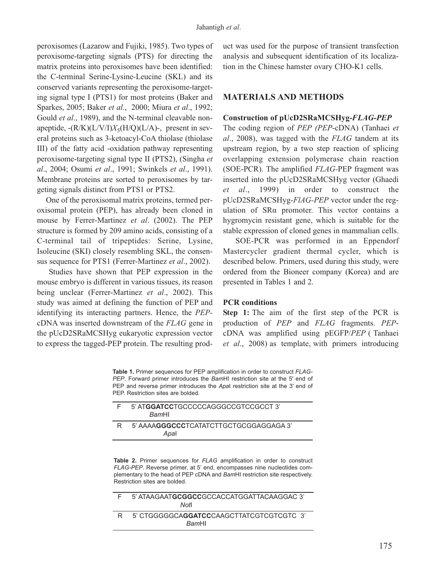peroxisomes (Lazarow and Fujiki, 1985). Two types of peroxisome-targeting signals (PTS) for directing the matrix proteins into peroxisomes have been identified: the C-terminal Serine-Lysine-Leucine (SKL) and its conserved variants representing the peroxisome-targeting signal type I (PTS1) for most proteins (Baker and Sparkes, 2005; Baker *et al*., 2000; Miura *et al*., 1992; Gould *et al*., 1989), and the N-terminal cleavable nonapeptide,  $-(R/K)(L/V/I)X_5(H/Q)(L/A)$ -, present in several proteins such as 3-ketoacyl-CoA thiolase (thiolase III) of the fatty acid -oxidation pathway representing peroxisome-targeting signal type II (PTS2), (Singha *et al*., 2004; Osumi *et al*., 1991; Swinkels *et al*., 1991). Membrane proteins are sorted to peroxisomes by targeting signals distinct from PTS1 or PTS2.

One of the peroxisomal matrix proteins, termed peroxisomal protein (PEP), has already been cloned in mouse by Ferrer-Martinez *et al*. (2002). The PEP structure is formed by 209 amino acids, consisting of a C-terminal tail of tripeptides: Serine, Lysine, Isoleucine (SKI) closely resembling SKL, the consensus sequence for PTS1 (Ferrer-Martinez *et al*., 2002).

Studies have shown that PEP expression in the mouse embryo is different in various tissues, its reason being unclear (Ferrer-Martinez *et al*., 2002). This study was aimed at defining the function of PEP and identifying its interacting partners. Hence, the *PEP*cDNA was inserted downstream of the *FLAG* gene in the pUcD2SRaMCSHyg eukaryotic expression vector to express the tagged-PEP protein. The resulting product was used for the purpose of transient transfection analysis and subsequent identification of its localization in the Chinese hamster ovary CHO-K1 cells.

## **MATERIALS AND METHODS**

## **Construction of pUcD2SRaMCSHyg-***FLAG-PEP*

The coding region of *PEP (PEP*-cDNA) (Tanhaei *et al*., 2008), was tagged with the *FLAG* tandem at its upstream region, by a two step reaction of splicing overlapping extension polymerase chain reaction (SOE-PCR). The amplified *FLAG-*PEP fragment was inserted into the pUcD2SRaMCSHyg vector (Ghaedi *et al*., 1999) in order to construct the pUcD2SRaMCSHyg-*FlAG-PEP* vector under the regulation of SRα promoter. This vector contains a hygromycin resistant gene, which is suitable for the stable expression of cloned genes in mammalian cells.

SOE-PCR was performed in an Eppendorf Mastercycler gradient thermal cycler, which is described below. Primers, used during this study, were ordered from the Bioneer company (Korea) and are presented in Tables 1 and 2.

#### **PCR conditions**

**Step 1:** The aim of the first step of the PCR is production of *PEP* and *FLAG* fragments. *PEP*cDNA was amplified using pEGFP/*PEP* ( Tanhaei *et al*., 2008) as template, with primers introducing

**Table 1.** Primer sequences for PEP amplification in order to construct *FLAG-PEP*. Forward primer introduces the *Bam*HI restriction site at the 5' end of PEP and reverse primer introduces the *Apa*I restriction site at the 3' end of PEP. Restriction sites are bolded.

|    | 5' ATGGATCCTGCCCCCAGGGCCGTCCGCCT 3'<br><b>BamHI</b>     |
|----|---------------------------------------------------------|
| R. | 5' AAAA <b>GGGCCC</b> TCATATCTTGCTGCGGAGGAGA 3'<br>Apal |

**Table 2.** Primer sequences for *FLAG* amplification in order to construct *FLAG-PEP*. Reverse primer, at 5' end, encompasses nine nucleotides complementary to the head of PEP cDNA and *Bam*HI restriction site respectively. Restriction sites are bolded.

| E | 5' ATAAGAATGCGGCCGCCACCATGGATTACAAGGAC 3'<br>Notl                 |  |  |  |
|---|-------------------------------------------------------------------|--|--|--|
| R | 5' CTGGGGGCA <b>GGATCC</b> CAAGCTTATCGTCGTCGTC 3'<br><b>BamHI</b> |  |  |  |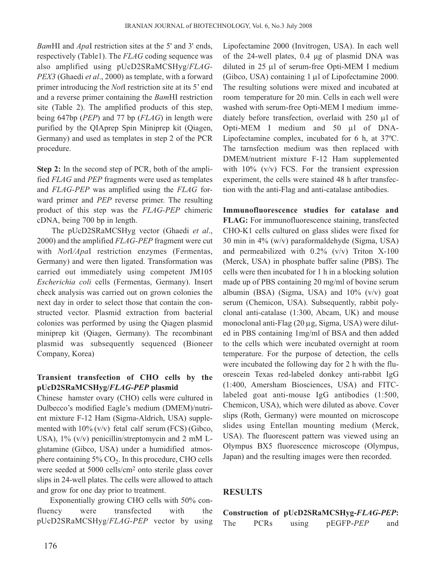*Bam*HI and *Apa*I restriction sites at the 5' and 3' ends, respectively (Table1). The *FLAG* coding sequence was also amplified using pUcD2SRaMCSHyg/*FLAG-PEX3* (Ghaedi *et al*., 2000) as template, with a forward primer introducing the *Not*I restriction site at its 5' end and a reverse primer containing the *Bam*HI restriction site (Table 2). The amplified products of this step, being 647bp (*PEP*) and 77 bp (*FLAG*) in length were purified by the QIAprep Spin Miniprep kit (Qiagen, Germany) and used as templates in step 2 of the PCR procedure.

**Step 2:** In the second step of PCR, both of the amplified *FLAG* and *PEP* fragments were used as templates and *FLAG-PEP* was amplified using the *FLAG* forward primer and *PEP* reverse primer. The resulting product of this step was the *FLAG-PEP* chimeric cDNA, being 700 bp in length.

The pUcD2SRaMCSHyg vector (Ghaedi *et al*., 2000) and the amplified *FLAG-PEP* fragment were cut with *Not*I*/Apa*I restriction enzymes (Fermentas, Germany) and were then ligated. Transformation was carried out immediately using competent JM105 *Escherichia coli* cells (Fermentas, Germany). Insert check analysis was carried out on grown colonies the next day in order to select those that contain the constructed vector. Plasmid extraction from bacterial colonies was performed by using the Qiagen plasmid miniprep kit (Qiagen, Germany). The recombinant plasmid was subsequently sequenced (Bioneer Company, Korea)

# **Transient transfection of CHO cells by the pUcD2SRaMCSHyg/***FLAG-PEP* **plasmid**

Chinese hamster ovary (CHO) cells were cultured in Dulbecco's modified Eagle's medium (DMEM)/nutrient mixture F-12 Ham (Sigma-Aldrich, USA) supplemented with  $10\%$  (v/v) fetal calf serum (FCS) (Gibco, USA),  $1\%$  (v/v) penicillin/streptomycin and 2 mM Lglutamine (Gibco, USA) under a humidified atmosphere containing  $5\%$  CO<sub>2</sub>. In this procedure, CHO cells were seeded at 5000 cells/cm2 onto sterile glass cover slips in 24-well plates. The cells were allowed to attach and grow for one day prior to treatment.

Exponentially growing CHO cells with 50% confluency were transfected with the pUcD2SRaMCSHyg/*FLAG-PEP* vector by using Lipofectamine 2000 (Invitrogen, USA). In each well of the 24-well plates, 0.4 µg of plasmid DNA was diluted in 25 µl of serum-free Opti-MEM I medium (Gibco, USA) containing 1 µl of Lipofectamine 2000. The resulting solutions were mixed and incubated at room temperature for 20 min. Cells in each well were washed with serum-free Opti-MEM I medium immediately before transfection, overlaid with 250 µl of Opti-MEM I medium and 50 µl of DNA-Lipofectamine complex, incubated for 6 h, at 37ºC. The tarnsfection medium was then replaced with DMEM/nutrient mixture F-12 Ham supplemented with  $10\%$  (v/v) FCS. For the transient expression experiment, the cells were stained 48 h after transfection with the anti-Flag and anti-catalase antibodies.

**Immunofluorescence studies for catalase and FLAG:** For immunofluorescence staining, transfected CHO-K1 cells cultured on glass slides were fixed for 30 min in 4% (w/v) paraformaldehyde (Sigma, USA) and permeabilized with 0.2% (v/v) Triton X-100 (Merck, USA) in phosphate buffer saline (PBS). The cells were then incubated for 1 h in a blocking solution made up of PBS containing 20 mg/ml of bovine serum albumin (BSA) (Sigma, USA) and  $10\%$  (v/v) goat serum (Chemicon, USA). Subsequently, rabbit polyclonal anti-catalase (1:300, Abcam, UK) and mouse monoclonal anti-Flag (20 µg, Sigma, USA) were diluted in PBS containing 1mg/ml of BSA and then added to the cells which were incubated overnight at room temperature. For the purpose of detection, the cells were incubated the following day for 2 h with the fluorescein Texas red-labeled donkey anti-rabbit IgG (1:400, Amersham Biosciences, USA) and FITClabeled goat anti-mouse IgG antibodies (1:500, Chemicon, USA), which were diluted as above. Cover slips (Roth, Germany) were mounted on microscope slides using Entellan mounting medium (Merck, USA). The fluorescent pattern was viewed using an Olympus BX5 fluorescence microscope (Olympus, Japan) and the resulting images were then recorded.

## **RESULTS**

|     |             |       | Construction of pUcD2SRaMCSHyg-FLAG-PEP: |     |
|-----|-------------|-------|------------------------------------------|-----|
| The | <b>PCRs</b> | using | pEGFP-PEP                                | and |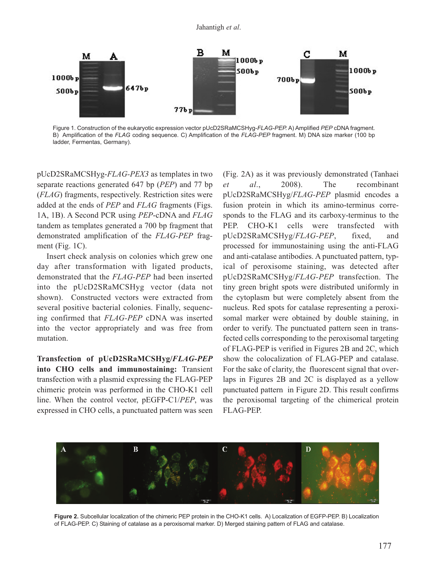

Figure 1. Construction of the eukaryotic expression vector pUcD2SRaMCSHyg-*FLAG-PEP.* A) Amplified *PEP* cDNA fragment. B) Amplification of the *FLAG* coding sequence. C) Amplification of the *FLAG-PEP* fragment. M) DNA size marker (100 bp ladder, Fermentas, Germany).

pUcD2SRaMCSHyg-*FLAG-PEX3* as templates in two separate reactions generated 647 bp (*PEP*) and 77 bp (*FLAG*) fragments, respectively. Restriction sites were added at the ends of *PEP* and *FLAG* fragments (Figs. 1A, 1B). A Second PCR using *PEP*-cDNA and *FLAG* tandem as templates generated a 700 bp fragment that demonstrated amplification of the *FLAG-PEP* fragment (Fig. 1C).

Insert check analysis on colonies which grew one day after transformation with ligated products, demonstrated that the *FLAG-PEP* had been inserted into the pUcD2SRaMCSHyg vector (data not shown). Constructed vectors were extracted from several positive bacterial colonies. Finally, sequencing confirmed that *FLAG-PEP* cDNA was inserted into the vector appropriately and was free from mutation.

**Transfection of pUcD2SRaMCSHyg/***FLAG-PEP* **into CHO cells and immunostaining:** Transient transfection with a plasmid expressing the FLAG-PEP chimeric protein was performed in the CHO-K1 cell line. When the control vector, pEGFP-C1/*PEP*, was expressed in CHO cells, a punctuated pattern was seen

(Fig. 2A) as it was previously demonstrated (Tanhaei *et al*., 2008). The recombinant pUcD2SRaMCSHyg/*FLAG-PEP* plasmid encodes a fusion protein in which its amino-terminus corresponds to the FLAG and its carboxy-terminus to the PEP. CHO-K1 cells were transfected with pUcD2SRaMCSHyg/*FLAG-PEP*, fixed, and processed for immunostaining using the anti-FLAG and anti-catalase antibodies. A punctuated pattern, typical of peroxisome staining, was detected after pUcD2SRaMCSHyg/*FLAG-PEP* transfection. The tiny green bright spots were distributed uniformly in the cytoplasm but were completely absent from the nucleus. Red spots for catalase representing a peroxisomal marker were obtained by double staining, in order to verify. The punctuated pattern seen in transfected cells corresponding to the peroxisomal targeting of FLAG-PEP is verified in Figures 2B and 2C, which show the colocalization of FLAG-PEP and catalase. For the sake of clarity, the fluorescent signal that overlaps in Figures 2B and 2C is displayed as a yellow punctuated pattern in Figure 2D. This result confirms the peroxisomal targeting of the chimerical protein FLAG-PEP.



**Figure 2.** Subcellular localization of the chimeric PEP protein in the CHO-K1 cells. A) Localization of EGFP-PEP. B) Localization of FLAG-PEP. C) Staining of catalase as a peroxisomal marker. D) Merged staining pattern of FLAG and catalase.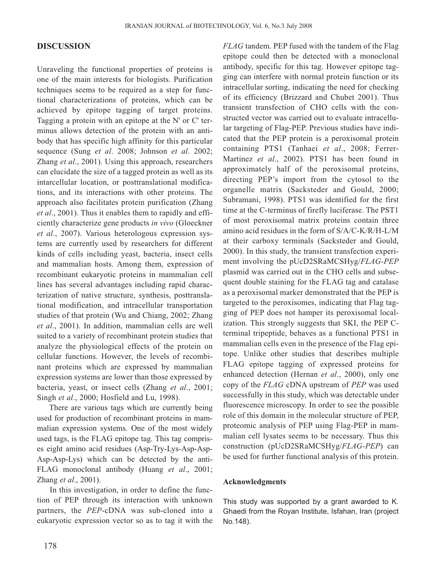# **DISCUSSION**

Unraveling the functional properties of proteins is one of the main interests for biologists. Purification techniques seems to be required as a step for functional characterizations of proteins, which can be achieved by epitope tagging of target proteins. Tagging a protein with an epitope at the N' or C' terminus allows detection of the protein with an antibody that has specific high affinity for this particular sequence (Sung *et al*. 2008; Johnson *et al*. 2002; Zhang *et al*., 2001). Using this approach, researchers can elucidate the size of a tagged protein as well as its intarcellular location, or posttranslational modifications, and its interactions with other proteins. The approach also facilitates protein purification (Zhang *et al*., 2001). Thus it enables them to rapidly and efficiently characterize gene products *in vivo* (Gloeckner *et al*., 2007). Various heterologous expression systems are currently used by researchers for different kinds of cells including yeast, bacteria, insect cells and mammalian hosts. Among them, expression of recombinant eukaryotic proteins in mammalian cell lines has several advantages including rapid characterization of native structure, synthesis, posttranslational modification, and intracellular transportation studies of that protein (Wu and Chiang, 2002; Zhang *et al*., 2001). In addition, mammalian cells are well suited to a variety of recombinant protein studies that analyze the physiological effects of the protein on cellular functions. However, the levels of recombinant proteins which are expressed by mammalian expression systems are lower than those expressed by bacteria, yeast, or insect cells (Zhang *et al*., 2001; Singh *et al*., 2000; Hosfield and Lu, 1998).

There are various tags which are currently being used for production of recombinant proteins in mammalian expression systems. One of the most widely used tags, is the FLAG epitope tag. This tag comprises eight amino acid residues (Asp-Try-Lys-Asp-Asp-Asp-Asp-Lys) which can be detected by the anti-FLAG monoclonal antibody (Huang *et al*., 2001; Zhang *et al*., 2001).

In this investigation, in order to define the function of PEP through its interaction with unknown partners, the *PEP*-cDNA was sub-cloned into a eukaryotic expression vector so as to tag it with the *FLAG* tandem. PEP fused with the tandem of the Flag epitope could then be detected with a monoclonal antibody, specific for this tag. However epitope tagging can interfere with normal protein function or its intracellular sorting, indicating the need for checking of its efficiency (Brizzard and Chubet 2001). Thus transient transfection of CHO cells with the constructed vector was carried out to evaluate intracellular targeting of Flag-PEP. Previous studies have indicated that the PEP protein is a peroxisomal protein containing PTS1 (Tanhaei *et al*., 2008; Ferrer-Martinez *et al*., 2002). PTS1 has been found in approximately half of the peroxisomal proteins, directing PEP's import from the cytosol to the organelle matrix (Sacksteder and Gould, 2000; Subramani, 1998). PTS1 was identified for the first time at the C-terminus of firefly luciferase. The PST1 of most peroxisomal matrix proteins contain three amino acid residues in the form of S/A/C-K/R/H-L/M at their carboxy terminals (Sacksteder and Gould, 2000). In this study, the transient transfection experiment involving the pUcD2SRaMCSHyg/*FLAG-PEP* plasmid was carried out in the CHO cells and subsequent double staining for the FLAG tag and catalase as a peroxisomal marker demonstrated that the PEP is targeted to the peroxisomes, indicating that Flag tagging of PEP does not hamper its peroxisomal localization. This strongly suggests that SKI, the PEP Cterminal tripeptide, behaves as a functional PTS1 in mammalian cells even in the presence of the Flag epitope. Unlike other studies that describes multiple FLAG epitope tagging of expressed proteins for enhanced detection (Hernan *et al*., 2000), only one copy of the *FLAG* cDNA upstream of *PEP* was used successfully in this study, which was detectable under fluorescence microscopy. In order to see the possible role of this domain in the molecular structure of PEP, proteomic analysis of PEP using Flag-PEP in mammalian cell lysates seems to be necessary. Thus this construction (pUcD2SRaMCSHyg/*FLAG-PEP*) can be used for further functional analysis of this protein.

#### **Acknowledgments**

This study was supported by a grant awarded to K. Ghaedi from the Royan Institute, Isfahan, Iran (project No.148).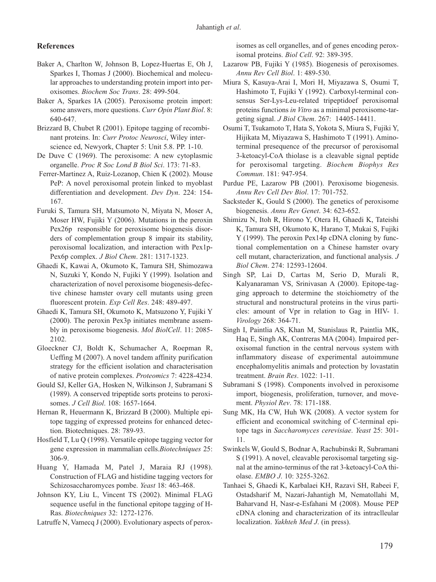## **References**

- Baker A, Charlton W, Johnson B, Lopez-Huertas E, Oh J, Sparkes I, Thomas J (2000). Biochemical and molecular approaches to understanding protein import into peroxisomes. *Biochem Soc Trans*. 28: 499-504.
- Baker A, Sparkes IA (2005). Peroxisome protein import: some answers, more questions. *Curr Opin Plant Biol*. 8: 640-647.
- Brizzard B, Chubet R (2001). Epitope tagging of recombinant proteins. In: *Curr Protoc Neurosci*, Wiley interscience ed, Newyork, Chapter 5: Unit 5.8. PP. 1-10.
- De Duve C (1969). The peroxisome: A new cytoplasmic organelle. *Proc R Soc Lond B Biol Sci*. 173: 71-83.
- Ferrer-Martinez A, Ruiz-Lozanop, Chien K (2002). Mouse PeP: A novel peroxisomal protein linked to myoblast differentiation and development. *Dev Dyn*. 224: 154- 167.
- Furuki S, Tamura SH, Matsumoto N, Miyata N, Moser A, Moser HW, Fujiki Y (2006). Mutations in the peroxin Pex26p responsible for peroxisome biogenesis disorders of complementation group 8 impair its stability, peroxisomal localization, and interaction with Pex1p-Pex6p complex. *J Biol Chem*. 281: 1317-1323.
- Ghaedi K, Kawai A, Okumoto K, Tamura SH, Shimozawa N, Suzuki Y, Kondo N, Fujiki Y (1999). Isolation and characterization of novel peroxisome biogenesis-defective chinese hamster ovary cell mutants using green fluorescent protein. *Exp Cell Res*. 248: 489-497.
- Ghaedi K, Tamura SH, Okumoto K, Matsuzono Y, Fujiki Y (2000). The peroxin Pex3p initiates membrane assembly in peroxisome biogenesis. *Mol BiolCell*. 11: 2085- 2102.
- Gloeckner CJ, Boldt K, Schumacher A, Roepman R, Ueffing M (2007). A novel tandem affinity purification strategy for the efficient isolation and characterisation of native protein complexes. *Proteomics* 7: 4228-4234.
- Gould SJ, Keller GA, Hosken N, Wilkinson J, Subramani S (1989). A conserved tripeptide sorts proteins to peroxisomes. *J Cell Biol*. 108: 1657-1664.
- Hernan R, Heuermann K, Brizzard B (2000). Multiple epitope tagging of expressed proteins for enhanced detection. Biotechniques. 28: 789-93.
- Hosfield T, Lu Q (1998). Versatile epitope tagging vector for gene expression in mammalian cells.*Biotechniques* 25: 306-9.
- Huang Y, Hamada M, Patel J, Maraia RJ (1998). Construction of FLAG and histidine tagging vectors for Schizosaccharomyces pombe. *Yeast* 18: 463-468.
- Johnson KY, Liu L, Vincent TS (2002). Minimal FLAG sequence useful in the functional epitope tagging of H-Ras. *Biotechniques* 32: 1272-1276.

Latruffe N, Vamecq J (2000). Evolutionary aspects of perox-

isomes as cell organelles, and of genes encoding peroxisomal proteins. *Biol Cell*. 92: 389-395.

- Lazarow PB, Fujiki Y (1985). Biogenesis of peroxisomes. *Annu Rev Cell Biol*. 1: 489-530.
- Miura S, Kasuya-Arai I, Mori H, Miyazawa S, Osumi T, Hashimoto T, Fujiki Y (1992). Carboxyl-terminal consensus Ser-Lys-Leu-related tripeptidoef peroxisomal proteins functions *in Vitro* as a minimal peroxisome-targeting signal. *J Biol Chem*. 267: 14405-14411.
- Osumi T, Tsukamoto T, Hata S, Yokota S, Miura S, Fujiki Y, Hijikata M, Miyazawa S, Hashimoto T (1991). Aminoterminal presequence of the precursor of peroxisomal 3-ketoacyl-CoA thiolase is a cleavable signal peptide for peroxisomal targeting. *Biochem Biophys Res Commun*. 181: 947-954.
- Purdue PE, Lazarow PB (2001). Peroxisome biogenesis. *Annu Rev Cell Dev Biol*. 17: 701-752.
- Sacksteder K, Gould S (2000). The genetics of peroxisome biogenesis. *Annu Rev Genet*. 34: 623-652.
- Shimizu N, Itoh R, Hirono Y, Otera H, Ghaedi K, Tateishi K, Tamura SH, Okumoto K, Harano T, Mukai S, Fujiki Y (1999). The peroxin Pex14p cDNA cloning by functional complementation on a Chinese hamster ovary cell mutant, characterization, and functional analysis. *J Biol Chem*. 274: 12593-12604.
- Singh SP, Lai D, Cartas M, Serio D, Murali R, Kalyanaraman VS, Srinivasan A (2000). Epitope-tagging approach to determine the stoichiometry of the structural and nonstructural proteins in the virus particles: amount of Vpr in relation to Gag in HIV- 1. *Virology* 268: 364-71.
- Singh I, Paintlia AS, Khan M, Stanislaus R, Paintlia MK, Haq E, Singh AK, Contreras MA (2004). Impaired peroxisomal function in the central nervous system with inflammatory disease of experimental autoimmune encephalomyelitis animals and protection by lovastatin treatment. *Brain Res*. 1022: 1-11.
- Subramani S (1998). Components involved in peroxisome import, biogenesis, proliferation, turnover, and movement. *Physiol Rev*. 78: 171-188.
- Sung MK, Ha CW, Huh WK (2008). A vector system for efficient and economical switching of C-terminal epitope tags in *Saccharomyces cerevisiae*. *Yeast* 25: 301- 11.
- Swinkels W, Gould S, Bodnar A, Rachubinski R, Subramani S (1991). A novel, cleavable peroxisomal targeting signal at the amino-terminus of the rat 3-ketoacyl-CoA thiolase. *EMBO J*. 10: 3255-3262.
- Tanhaei S, Ghaedi K, Karbalaei KH, Razavi SH, Rabeei F, Ostadsharif M, Nazari-Jahantigh M, Nematollahi M, Baharvand H, Nasr-e-Esfahani M (2008). Mouse PEP cDNA cloning and characterization of its intraclleular localization. *Yakhteh Med J*. (in press).